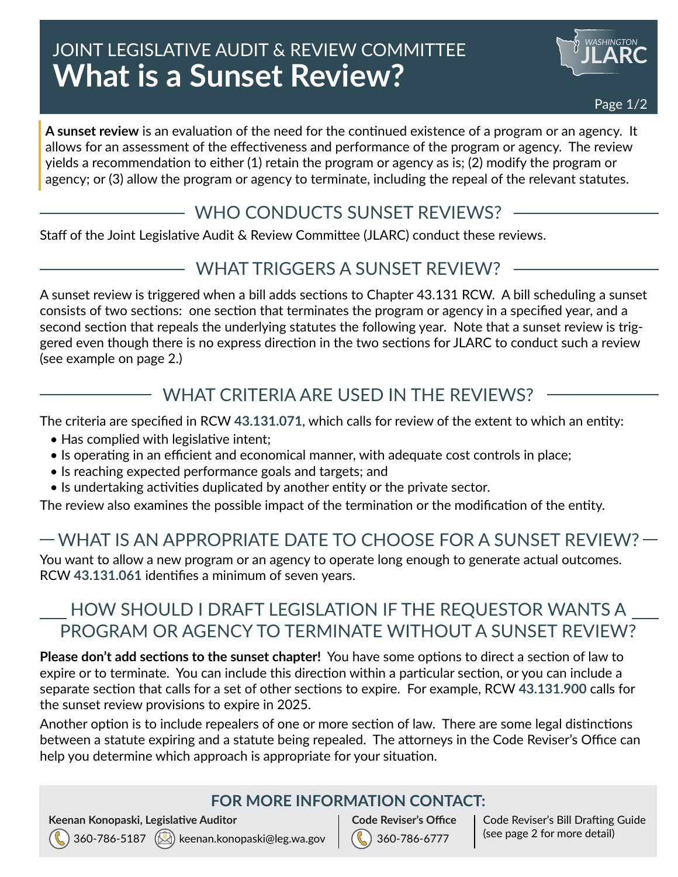# JOINT LEGISLATIVE AUDIT & REVIEW COMMITTEE **What is a Sunset Review?**



**A sunset review** is an evaluation of the need for the continued existence of a program or an agency. It allows for an assessment of the effectiveness and performance of the program or agency. The review yields a recommendation to either (1) retain the program or agency as is; (2) modify the program or agency; or (3) allow the program or agency to terminate, including the repeal of the relevant statutes.

### WHO CONDUCTS SUNSET REVIEWS?

Staff of the Joint Legislative Audit & Review Committee (JLARC) conduct these reviews.

### WHAT TRIGGERS A SUNSET REVIEW?

A sunset review is triggered when a bill adds sections to Chapter 43.131 RCW. A bill scheduling a sunset consists of two sections: one section that terminates the program or agency in a specified year, and a second section that repeals the underlying statutes the following year. Note that a sunset review is triggered even though there is no express direction in the two sections for JLARC to conduct such a review (see example on page 2.)

## WHAT CRITERIA ARE USED IN THE REVIEWS?

The criteria are specified in RCW **[43.131.071](http://app.leg.wa.gov/RCW/default.aspx?cite=43.131.071)**, which calls for review of the extent to which an entity:

- Has complied with legislative intent;
- Is operating in an efficient and economical manner, with adequate cost controls in place;
- Is reaching expected performance goals and targets; and
- Is undertaking activities duplicated by another entity or the private sector.

The review also examines the possible impact of the termination or the modification of the entity.

# WHAT IS AN APPROPRIATE DATE TO CHOOSE FOR A SUNSET REVIEW?

You want to allow a new program or an agency to operate long enough to generate actual outcomes. RCW **[43.131.061](http://app.leg.wa.gov/RCW/default.aspx?cite=43.131.061)** identifies a minimum of seven years.

## HOW SHOULD I DRAFT LEGISLATION IF THE REQUESTOR WANTS A PROGRAM OR AGENCY TO TERMINATE WITHOUT A SUNSET REVIEW?

**Please don't add sections to the sunset chapter!** You have some options to direct a section of law to expire or to terminate. You can include this direction within a particular section, or you can include a separate section that calls for a set of other sections to expire. For example, RCW **[43.131.900](http://app.leg.wa.gov/RCW/default.aspx?cite=43.131.900)** calls for the sunset review provisions to expire in 2025.

Another option is to include repealers of one or more section of law. There are some legal distinctions between a statute expiring and a statute being repealed. The attorneys in the Code Reviser's Office can help you determine which approach is appropriate for your situation.

#### **FOR MORE INFORMATION CONTACT:**

**Keenan Konopaski, Legislative Auditor**



360-786-6777 **Code Reviser's Office** Code Reviser's Bill Drafting Guide (see page 2 for more detail)